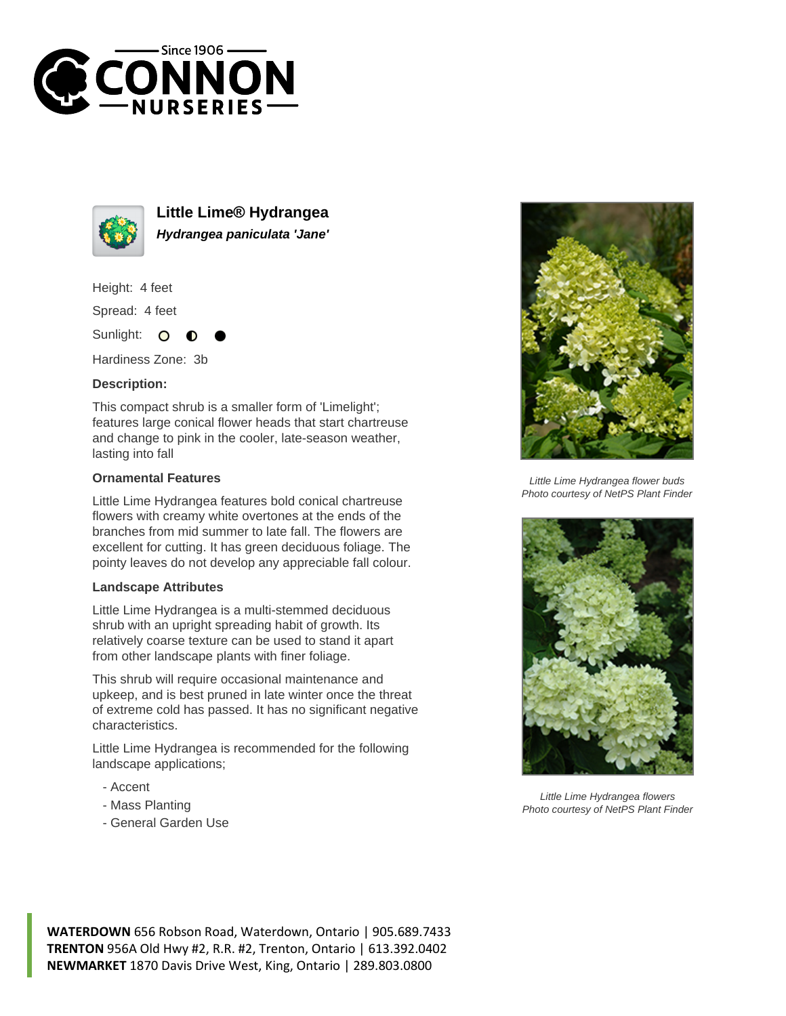



**Little Lime® Hydrangea Hydrangea paniculata 'Jane'**

Height: 4 feet

Spread: 4 feet

Sunlight:  $\Omega$ 

Hardiness Zone: 3b

## **Description:**

This compact shrub is a smaller form of 'Limelight'; features large conical flower heads that start chartreuse and change to pink in the cooler, late-season weather, lasting into fall

## **Ornamental Features**

Little Lime Hydrangea features bold conical chartreuse flowers with creamy white overtones at the ends of the branches from mid summer to late fall. The flowers are excellent for cutting. It has green deciduous foliage. The pointy leaves do not develop any appreciable fall colour.

## **Landscape Attributes**

Little Lime Hydrangea is a multi-stemmed deciduous shrub with an upright spreading habit of growth. Its relatively coarse texture can be used to stand it apart from other landscape plants with finer foliage.

This shrub will require occasional maintenance and upkeep, and is best pruned in late winter once the threat of extreme cold has passed. It has no significant negative characteristics.

Little Lime Hydrangea is recommended for the following landscape applications;

- Accent
- Mass Planting
- General Garden Use



Little Lime Hydrangea flower buds Photo courtesy of NetPS Plant Finder



Little Lime Hydrangea flowers Photo courtesy of NetPS Plant Finder

**WATERDOWN** 656 Robson Road, Waterdown, Ontario | 905.689.7433 **TRENTON** 956A Old Hwy #2, R.R. #2, Trenton, Ontario | 613.392.0402 **NEWMARKET** 1870 Davis Drive West, King, Ontario | 289.803.0800